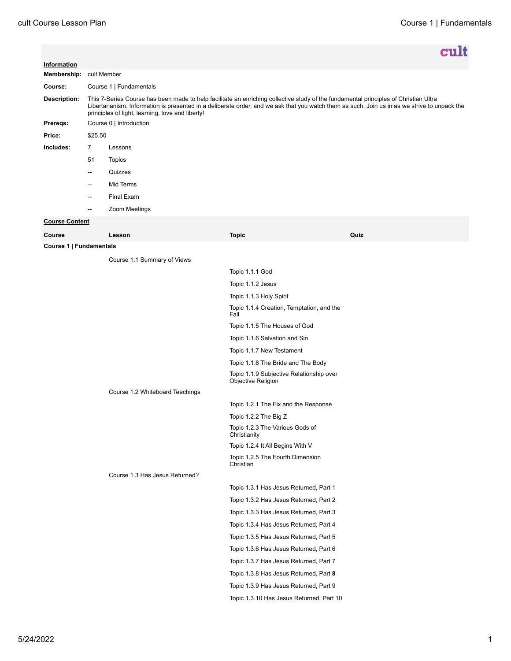|                                 |                                                                                                                                                                                                                                                                                                                                           |                                |                                                                | cult |
|---------------------------------|-------------------------------------------------------------------------------------------------------------------------------------------------------------------------------------------------------------------------------------------------------------------------------------------------------------------------------------------|--------------------------------|----------------------------------------------------------------|------|
| Information                     |                                                                                                                                                                                                                                                                                                                                           |                                |                                                                |      |
| Membership: cult Member         |                                                                                                                                                                                                                                                                                                                                           |                                |                                                                |      |
| Course:                         | Course 1   Fundamentals                                                                                                                                                                                                                                                                                                                   |                                |                                                                |      |
| <b>Description:</b>             | This 7-Series Course has been made to help facilitate an enriching collective study of the fundamental principles of Christian Ultra<br>Libertarianism. Information is presented in a deliberate order, and we ask that you watch them as such. Join us in as we strive to unpack the<br>principles of light, learning, love and liberty! |                                |                                                                |      |
| Prereqs:                        | Course 0   Introduction                                                                                                                                                                                                                                                                                                                   |                                |                                                                |      |
| Price:                          | \$25.50                                                                                                                                                                                                                                                                                                                                   |                                |                                                                |      |
| Includes:                       | $\overline{7}$                                                                                                                                                                                                                                                                                                                            | Lessons                        |                                                                |      |
|                                 | 51                                                                                                                                                                                                                                                                                                                                        | <b>Topics</b>                  |                                                                |      |
|                                 | $\overline{a}$                                                                                                                                                                                                                                                                                                                            | Quizzes                        |                                                                |      |
|                                 | --                                                                                                                                                                                                                                                                                                                                        | Mid Terms                      |                                                                |      |
|                                 | $\overline{a}$                                                                                                                                                                                                                                                                                                                            | Final Exam                     |                                                                |      |
|                                 | --                                                                                                                                                                                                                                                                                                                                        | Zoom Meetings                  |                                                                |      |
| <b>Course Content</b>           |                                                                                                                                                                                                                                                                                                                                           |                                |                                                                |      |
| Course                          |                                                                                                                                                                                                                                                                                                                                           | Lesson                         | <b>Topic</b>                                                   | Quiz |
| Course 1   Fundamentals         |                                                                                                                                                                                                                                                                                                                                           |                                |                                                                |      |
|                                 |                                                                                                                                                                                                                                                                                                                                           | Course 1.1 Summary of Views    |                                                                |      |
|                                 |                                                                                                                                                                                                                                                                                                                                           |                                | Topic 1.1.1 God                                                |      |
|                                 |                                                                                                                                                                                                                                                                                                                                           |                                | Topic 1.1.2 Jesus                                              |      |
|                                 |                                                                                                                                                                                                                                                                                                                                           |                                | Topic 1.1.3 Holy Spirit                                        |      |
|                                 |                                                                                                                                                                                                                                                                                                                                           |                                | Topic 1.1.4 Creation, Temptation, and the<br>Fall              |      |
|                                 |                                                                                                                                                                                                                                                                                                                                           |                                | Topic 1.1.5 The Houses of God                                  |      |
|                                 |                                                                                                                                                                                                                                                                                                                                           |                                | Topic 1.1.6 Salvation and Sin                                  |      |
|                                 |                                                                                                                                                                                                                                                                                                                                           |                                | Topic 1.1.7 New Testament                                      |      |
|                                 |                                                                                                                                                                                                                                                                                                                                           |                                | Topic 1.1.8 The Bride and The Body                             |      |
|                                 |                                                                                                                                                                                                                                                                                                                                           |                                | Topic 1.1.9 Subjective Relationship over<br>Objective Religion |      |
| Course 1.2 Whiteboard Teachings |                                                                                                                                                                                                                                                                                                                                           |                                |                                                                |      |
|                                 |                                                                                                                                                                                                                                                                                                                                           |                                | Topic 1.2.1 The Fix and the Response                           |      |
|                                 |                                                                                                                                                                                                                                                                                                                                           |                                | Topic 1.2.2 The Big Z                                          |      |
|                                 |                                                                                                                                                                                                                                                                                                                                           |                                | Topic 1.2.3 The Various Gods of<br>Christianity                |      |
|                                 |                                                                                                                                                                                                                                                                                                                                           |                                | Topic 1.2.4 It All Begins With V                               |      |
|                                 |                                                                                                                                                                                                                                                                                                                                           |                                | Topic 1.2.5 The Fourth Dimension<br>Christian                  |      |
|                                 |                                                                                                                                                                                                                                                                                                                                           | Course 1.3 Has Jesus Returned? |                                                                |      |
|                                 |                                                                                                                                                                                                                                                                                                                                           |                                | Topic 1.3.1 Has Jesus Returned, Part 1                         |      |
|                                 |                                                                                                                                                                                                                                                                                                                                           |                                | Topic 1.3.2 Has Jesus Returned, Part 2                         |      |
|                                 |                                                                                                                                                                                                                                                                                                                                           |                                | Topic 1.3.3 Has Jesus Returned, Part 3                         |      |
|                                 |                                                                                                                                                                                                                                                                                                                                           |                                | Topic 1.3.4 Has Jesus Returned, Part 4                         |      |
|                                 |                                                                                                                                                                                                                                                                                                                                           |                                | Topic 1.3.5 Has Jesus Returned, Part 5                         |      |
|                                 |                                                                                                                                                                                                                                                                                                                                           |                                | Topic 1.3.6 Has Jesus Returned, Part 6                         |      |
|                                 |                                                                                                                                                                                                                                                                                                                                           |                                | Topic 1.3.7 Has Jesus Returned, Part 7                         |      |
|                                 |                                                                                                                                                                                                                                                                                                                                           |                                | Topic 1.3.8 Has Jesus Returned, Part 8                         |      |
|                                 |                                                                                                                                                                                                                                                                                                                                           |                                | Topic 1.3.9 Has Jesus Returned, Part 9                         |      |
|                                 |                                                                                                                                                                                                                                                                                                                                           |                                | Topic 1.3.10 Has Jesus Returned, Part 10                       |      |